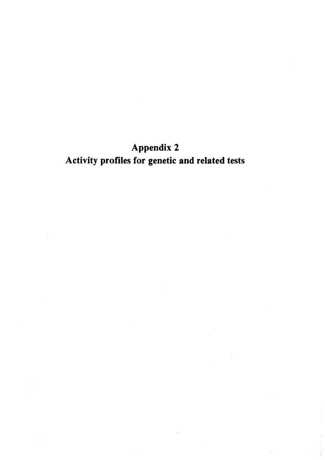# Appendix 2 Activity profiles for genetic and related tests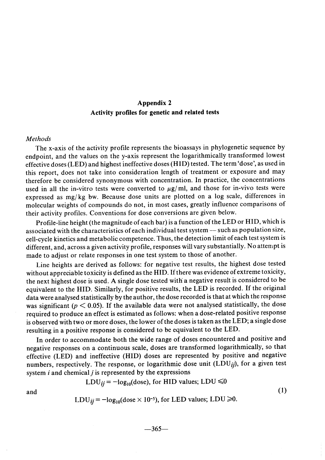# Appendix 2 Activity profies for genetic and related tests

## Methods

The x-axis of the activity profie represents the bioassays in phylogenetic sequence by end point, and the values on the y-axis represent the logarithmically transformed lowest effective doses (LED) and highest ineffective doses (HID) tested. The term 'dose', as used in this report, does not take into consideration length of treatment or exposure and may therefore be considered synonymous with concentration. ln practice, the concentrations used in all the in-vitro tests were converted to  $\mu$ g/ml, and those for in-vivo tests were expressed as mg/ kg bw. Because dose units are plotted on a log scale, differences in molecular weights of compounds do not, in most cases, greatly influence comparisons of their activity profiles. Conventions for dose conversions are given below.

Profile-line height (the magnitude of each bar) is a function of the LED or HID, which is associated with the characteristics of each individual test system - such as population size, cell-cycle kinetics and metabolic competence. Thus, the detection limit of each test system is different, and, across a given activity profile, responses will vary substantially. No attempt is made to adjust or relate responses in one test system to those of another.

Line heights are derived as folIows: for negative test results, the highest dose tested without appreciable toxicity is defined as the HID. If there was evidence of extreme toxicity, the next highest dose is used. A single dose tested with a negative result is considered to be equivalent to the HID. Similarly, for positive results, the LED is recorded. If the original data were analysed statistically by the author, the dose recorded is that at which the response was significant ( $p < 0.05$ ). If the available data were not analysed statistically, the dose required to produce an effect is estimated as folIows: when a dose-related positive response is observed with two or more doses, the lower ofthe doses is taken as the LED; a single dose resulting in a positive response is considered to be equivalent to the LED.

ln order to accommodate both the wide range of doses encountered and positive and negative responses on a continuous scale, doses are transformed logarithmically, so that effective (LED) and ineffective (HID) doses are represented by positive and negative numbers, respectively. The response, or logarithmic dose unit  $(LDU_{ij})$ , for a given test system  $i$  and chemical  $j$  is represented by the expressions

$$
LDU_{ij} = -log_{10}(dose), for HID values; LDU \le 0
$$

LDU<sub>ij</sub> =  $-\log_{10}(\text{dose} \times 10^{-5})$ , for LED values; LDU  $\geq 0$ .

and (1)

$$
-365-
$$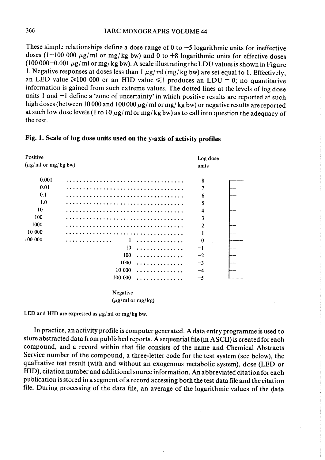These simple relationships define a dose range of  $0$  to  $-5$  logarithmic units for ineffective doses (1-100 000  $\mu$ g/ml or mg/kg bw) and 0 to +8 logarithmic units for effective doses (100000-0.001  $\mu$ g/ml or mg/ kg bw). A scale illustrating the LDU values is shown in Figure 1. Negative responses at doses less than  $1 \mu g/ml (mg/kg bw)$  are set equal to 1. Effectively, an LED value  $\geq 100000$  or an HID value  $\leq 1$  produces an LDU = 0; no quantitative information is gained from such extreme values. The dotted lines at the levels of log dose units 1 and -1 define a 'zone of uncertainty' in which positive results are reported at such high doses (between 10 000 and 100 000  $\mu$ g/ ml or mg/ kg bw) or negative results are reported at such low dose levels (1 to 10  $\mu$ g/ml or mg/kg bw) as to call into question the adequacy of the test.

## Fig. 1. Scale of log dose units used on the y-axis of activity profiles

| Positive                        |          |  | Log dose                |  |
|---------------------------------|----------|--|-------------------------|--|
| $(\mu g/\text{ml or mg/kg bw})$ | units    |  |                         |  |
| 0.001                           |          |  | 8                       |  |
| 0.01                            |          |  | $\overline{7}$          |  |
| 0.1                             |          |  | 6                       |  |
| 1.0                             |          |  | 5                       |  |
| 10                              |          |  | $\overline{\mathbf{4}}$ |  |
| 100                             |          |  | 3                       |  |
| 1000                            |          |  | $\overline{2}$          |  |
| 10 000                          |          |  | 1                       |  |
| 100 000                         |          |  | $\bf{0}$                |  |
|                                 | 10       |  | $-1$                    |  |
|                                 | 100      |  | $-2$                    |  |
|                                 | 1000     |  | $-3$                    |  |
|                                 | 10 000   |  | $-4$                    |  |
|                                 | 100 000  |  | $-5$                    |  |
|                                 | Negative |  |                         |  |

 $(\mu g/\text{ml or mg/kg})$ 

LED and HID are expressed as  $\mu$ g/ml or mg/kg bw.

ln practice, an activity profie is computer generated. A data entry programme is used to store abstracted data from published reports. A sequential file (in ASCII) is created for each compound, and a record within that file consists of the name and Chemical Abstracts Service number of the compound, a three-letter code for the test system (see below), the qualitative test result (with and without an exogenous metabolic system), dose (LED or HID), citation number and additional source information. An abbreviated citation for each publication is stored in a segment of a record accessing both the test data fie and the citation fie. During processing of the data file, an average of the 10garithmic values of the data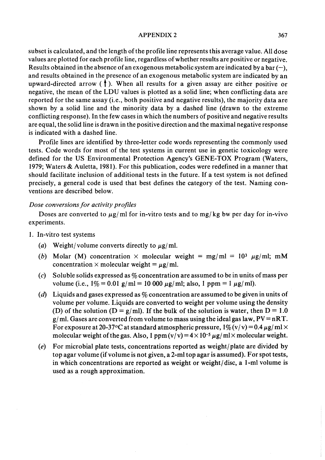#### APPENDIX 2 367

subset is calculated, and the length of the profile line represents this average value. All dose values are plotted for each profile line, regardless of whether results are positive or negative. Results obtained in the absence of an exogenous metabolic system are indicated by a bar  $(-)$ , and results obtained in the presence of an exogenous metabolic system are indicated by an upward-directed arrow  $( )$ . When all results for a given assay are either positive or negative, the mean of the LDU values is plotted as a solid line; when conflicting data are reported for the same assay (i.e., both positive and negative results), the majority data are shown by a solid line and the minority data by a dashed line (drawn to the extreme conflicting response). ln the few cases in which the numbers of positive and negative results are equal, the solid line is drawn in the positive direction and the maximal negative response is indicated with a dashed line.

Profile lines are identified by three-letter code words representing the commonly used tests. Code words for most of the test systems in current use in genetic toxicology were defined for the US Environmental Protection Agency's GENE-TOX Program (Waters, 1979; Waters & Auletta, 1981). For this publication, codes were redefined in a manner that should facilitate inclusion of additional tests in the future. If a test system is not defined precisely, a general code is used that best defines the category of the test. Naming conventions are described below.

## Dose conversions for activity profiles

Doses are converted to  $\mu$ g/ml for in-vitro tests and to mg/kg bw per day for in-vivo experiments.

- 1. ln-vitro test systems
	- (a) Weight/volume converts directly to  $\mu$ g/ml.
	- (b) Molar (M) concentration  $\times$  molecular weight = mg/ml = 10<sup>3</sup>  $\mu$ g/ml; mM concentration  $\times$  molecular weight =  $\mu$ g/ml.
	- (c) Soluble solids expressed as  $\%$  concentration are assumed to be in units of mass per volume (i.e.,  $1\% = 0.01$  g/ml = 10 000  $\mu$ g/ml; also, 1 ppm = 1  $\mu$ g/ml).
	- (d) Liquids and gases expressed as  $\%$  concentration are assumed to be given in units of volume per volume. Liquids are converted to weight per volume using the density (D) of the solution (D = g/ml). If the bulk of the solution is water, then  $D = 1.0$ g/ml. Gases are converted from volume to mass using the ideal gas law,  $PV = nRT$ . For exposure at 20-37°C at standard atmospheric pressure,  $1\% (v/v) = 0.4 \,\mu g/ml \times 10^{-4}$ molecular weight of the gas. Also, 1 ppm  $(v/v) = 4 \times 10^{-5} \mu g/ml \times$  molecular weight.
	- $(e)$  For microbial plate tests, concentrations reported as weight/plate are divided by top agar volume (if volume is not given, a 2-ml top agar is assumed). For spot tests, in which concentrations are reported as weight or weight/disc, a 1-ml volume is used as a rough approximation.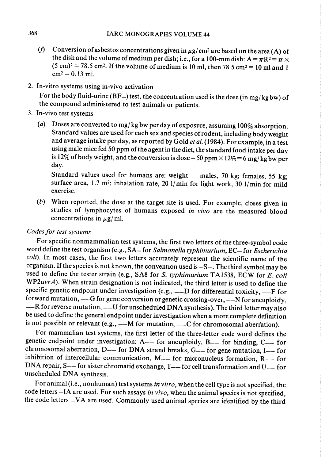- (f) Conversion of asbestos concentrations given in  $\mu$ g/ cm<sup>2</sup> are based on the area (A) of the dish and the volume of medium per dish; i.e., for a 100-mm dish:  $A = \pi R^2 = \pi \times$  $(5 \text{ cm})^2 = 78.5 \text{ cm}^2$ . If the volume of medium is 10 ml, then 78.5 cm<sup>2</sup> = 10 ml and 1  $cm<sup>2</sup> = 0.13$  ml.
- 2. ln-vitro systems using in-vivo activation

For the body fluid-urine (BF-) test, the concentration used is the dose (in mg/kg bw) of the compound administered to test animals or patients.

- 3. ln-vivo test systems
	- (a) Doses are converted to mg/kg bw per day of exposure, assuming  $100\%$  absorption. Standard values are used for each sex and species of rodent, including body weight and average intake per day, as reported by Gold et al. (1984). For example, in a test using male mice fed 50 ppm of the agent in the diet, the standard food intake per day is 12% of body weight, and the conversion is dose = 50 ppm  $\times$  12% = 6 mg/kg bw per day.

Standard values used for humans are: weight  $-$  males, 70 kg; females, 55 kg; surface area,  $1.7 \text{ m}^2$ ; inhalation rate,  $20 \frac{1}{\text{min}}$  for light work,  $30 \frac{1}{\text{min}}$  for mild exercise.

(b) When reported, the dose at the target site is used. For example, doses given in studies of lymphocytes of humans exposed in vivo are the measured blood concentrations in  $\mu$ g/ ml.

## Codes for test systems

For specific nonmammalian test systems, the first two letters of the three-symbol code word define the test organism (e.g., SA-for Salmonella typhimurium, EC- for Escherichia coli). In most cases, the first two letters accurately represent the scientific name of the organism. If the species is not known, the convention used is -S-. The third symbol may be used to define the tester strain (e.g., SA8 for S. typhimurium TA1538, ECW for E. coli WP2uvrA). When strain designation is not indicated, the third letter is used to define the specific genetic endpoint under investigation (e.g.,  $---D$  for differential toxicity,  $---F$  for forward mutation,  $--G$  for gene conversion or genetic crossing-over,  $--N$  for aneuploidy,  $--R$  for reverse mutation,  $--U$  for unscheduled DNA synthesis). The third letter may also be used to define the general endpoint under investigation when a more complete definition is not possible or relevant (e.g.,  $---M$  for mutation,  $---C$  for chromosomal aberration).

For mammalian test systems, the first letter of the three-1etter code word defines the genetic end point under investigation:  $A$ — for aneuploidy,  $B$ — for binding,  $C$ — for chromosomal aberration,  $D$ — for DNA strand breaks,  $G$ — for gene mutation, I— for inhibition of intercellular communication,  $M$ — for micronucleus formation,  $R$ — for DNA repair, S-- for sister chromatid exchange,  $T$ -for cell transformation and U-for unscheduled DNA synthesis.

For animal (i.e., nonhuman) test systems in vitro, when the cell type is not specified, the code letters -IA are used. For such assays in vivo, when the animal species is not specified, the code letters -VA are used. Commonly used animal species are identified by the third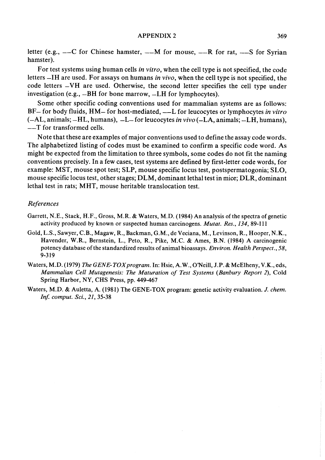#### APPENDIX 2 369

letter (e.g.,  $---C$  for Chinese hamster,  $---M$  for mouse,  $---R$  for rat,  $---S$  for Syrian hamster).

For test systems using human cells *in vitro*, when the cell type is not specified, the code letters  $-H$  are used. For assays on humans in vivo, when the cell type is not specified, the code letters  $-VH$  are used. Otherwise, the second letter specifies the cell type under investigation (e.g.,  $-BH$  for bone marrow,  $-LH$  for lymphocytes).

Some other specific coding conventions used for mammalian systems are as follows:  $BF-$  for body fluids,  $HM-$  for host-mediated,  $---L$  for leucocytes or lymphocytes in vitro  $(-AL, animals; -HL, humans), -L$  for leucocytes in vivo  $(-LA, animals; -LH, humans)$ , --T for transformed cells.

Note that these are examples of major conventions used to define the assay code words. The alphabetized listing of codes must be examined to confirm a specifie code word. As might be expected from the limitation to three symbols, some codes do not fit the naming conventions precisely. ln a few cases, test systems are defined by first-letter code words, for example: MST, mouse spot test; SLP, mouse specifie locus test, postspermatogonia; SLO, mouse specifie locus test, other stages; DLM, dominant lethal test in mice; DLR, dominant lethal test in rats; MHT, mouse heritable translocation test.

## References

- Garrett, N.E., Stack, H.F., Gross, M.R. & Waters, M.D. (1984) An analysis of the spectra of genetic activity produced by known or suspected human carcinogens. Mutat. Res., 134, 89-111
- Gold, L.S., Sawyer, C.R, Magaw, R., Backman, G.M., de Veciana, M., Levinson, R., Hooper, N.K., Havender, W.R., Bernstein, L., Peto, R., Pike, M.C. & Ames, B.N. (1984) A carcinogenic potency database of the standardized results of animal bioassays. Environ. Health Perspect., 58, 9-319
- Waters, M.D. (1979) The GENE-TOX program. In: Hsie, A.W., O'Neill, J.P. & McElheny, V.K., eds, Mammalian CeU Mutagenesis: The Maturation of Test Systems (Banbury Report 2), Cold Spring Harbor, NY, CHS Press, pp. 449-467
- Waters, M.D. & Auletta, A. (1981) The GENE-TOX program: genetic activity evaluation. J. chem. Inf. comput. Sci., 21, 35-38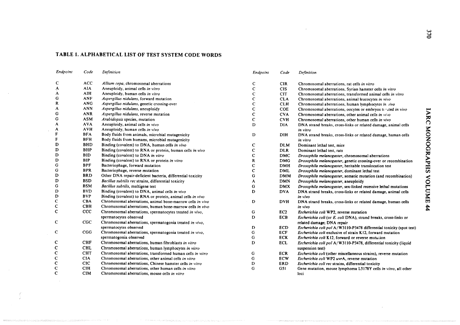# TABLE 1. ALPHABETICAL LIST OF TEST SYSTEM CODE WORDS

 $\mathcal{A}$ 

 $\sim$   $\sim$ 

| Endpoint    | Code       | Definition                                                 | Endpoint    | Code            | Definition                                                                       |
|-------------|------------|------------------------------------------------------------|-------------|-----------------|----------------------------------------------------------------------------------|
| C           | <b>ACC</b> | Allium cepa, chromosomal aberrations                       | C           | <b>CIR</b>      | Chromosomal aberrations, rat cells in vitro                                      |
| A           | <b>AIA</b> | Aneuploidy, animal cells in vitro                          | $\mathbf C$ | <b>CIS</b>      | Chromosomal aberrations, Syrian hamster cells in vitro                           |
| A           | AIH        | Aneuploidy, human cells in vitro                           | $\mathbf C$ | <b>CIT</b>      | Chromosomal aberrations, transformed animal cells in vitro                       |
| G           | <b>ANF</b> | Aspergillus nidulans, forward mutation                     | c           | <b>CLA</b>      | Chromosomal aberrations, animal leucocytes in vivo                               |
| R           | <b>ANG</b> | Aspergillus nidulans, genetic crossing-over                | $\mathbf C$ | <b>CLH</b>      | Chromosomal aberrations, human lymphocytes in vivo                               |
| A           | <b>ANN</b> | Aspergillus nidulans, aneuploidy                           | $\mathbf C$ | COE             | Chromosomal aberrations, oocytes or embryos ti rated in vivo                     |
| G           | <b>ANR</b> | Aspergillus nidulans, reverse mutation                     | $\mathbf C$ | <b>CVA</b>      | ⋝<br>Chromosomal aberrations, other animal cells in vivo                         |
| G           | <b>ASM</b> | Arabidopsis species, mutation                              | C           | <b>CVH</b>      | $\sum_{i=1}^{n}$<br>Chromosomal aberrations, other human cells in vivo           |
| A           | <b>AVA</b> | Aneuploidy, animal cells in vivo                           | D           | <b>DIA</b>      | DNA strand breaks, cross-links or related damage, animal cells                   |
| A           | AVH        | Aneuploidy, human cells in vivo                            |             |                 | in vitro                                                                         |
| F           | <b>BFA</b> | Body fluids from animals, microbial mutagenicity           | D           | DIH             | <b>NOM</b><br>DNA strand breaks, cross-links or related damage, human cells      |
| F           | <b>BFH</b> | Body fluids from humans, microbial mutagenicity            |             |                 | in vitro                                                                         |
| D           | <b>BHD</b> | Binding (covalent) to DNA, human cells in vivo             | C           | <b>DLM</b>      | SQ<br>Dominant lethal test, mice                                                 |
| D           | BHP        | Binding (covalent) to RNA or protein, human cells in vivo  | $\mathbf c$ | <b>DLR</b>      | Dominant lethal test, rats                                                       |
| D           | <b>BID</b> | Binding (covalent) to DNA in vitro                         | $\mathbf C$ | <b>DMC</b>      | RA<br>K<br>Drosophila melanogaster, chromosomal aberrations                      |
| D           | <b>BIP</b> | Binding (covalent) to RNA or protein in vitro              | R           | <b>DMG</b>      | Drosophila melanogaster, genetic crossing-over or recombination<br>ᡃᢏ            |
| G           | <b>BPF</b> | Bacteriophage, forward mutation                            | C           | <b>DMH</b>      | Drosophila melanogaster, heritable translocation test                            |
| G           | <b>BPR</b> | Bacteriophage, reverse mutation                            | $\mathbf C$ | <b>DML</b>      | ES<br>Drosophila melanogaster, dominant lethal test                              |
| D           | <b>BRD</b> | Other DNA repair-deficient bacteria, differential toxicity | G           | <b>DMM</b>      | Drosophila melanogaster, somatic mutation (and recombination)<br>⋖               |
| D           | <b>BSD</b> | Bacillus subtilis rec strains, differential toxicity       | A           | <b>DMN</b>      | C<br>Drosophila melanogaster, aneuploidy                                         |
| G           | <b>BSM</b> | Bacillus subtilis, multigene test                          | G           | <b>DMX</b>      | ۳<br>Drosophila melanogaster, sex-linked recessive lethal mutations              |
| D           | <b>BVD</b> | Binding (covalent) to DNA, animal cells in vivo            | D           | <b>DVA</b>      | $1$ M $\Omega$<br>DNA strand breaks, cross-links or related damage, animal cells |
| D           | <b>BVP</b> | Binding (covalent) to RNA or protein, animal cells in vivo |             |                 | in vivo                                                                          |
| $\mathbf C$ | <b>CBA</b> | Chromosomal aberrations, animal bone-marrow cells in vivo  | D           | <b>DVH</b>      | DNA strand breaks, cross-links or related damage, human cells                    |
| $\mathbf C$ | <b>CBH</b> | Chromosomal aberrations, human bone-marrow cells in vivo   |             |                 | 44<br>in vivo                                                                    |
| $\mathbf C$ | <b>CCC</b> | Chromosomal aberrations, spermatocytes treated in vivo,    | G           | EC <sub>2</sub> | Escherichia coli WP2, reverse mutation                                           |
|             |            | spermatocytes observed                                     | D           | <b>ECB</b>      | Escherichia coli (or E. coli DNA), strand breaks, cross-links or                 |
| C           | CGC        | Chromosomal aberrations, spermatogonia treated in vivo,    |             |                 | related damage; DNA repair                                                       |
|             |            | spermatocytes observed                                     | D           | <b>ECD</b>      | Escherichia coli pol A/W3110-P3478 differential toxicity (spot test)             |
| $\mathbf C$ | CGG        | Chromosomal aberrations, spermatogonia treated in vivo,    | G           | <b>ECF</b>      | Escherichia coli exclusive of strain K12, forward mutation                       |
|             |            | spermatogonia observed                                     | G           | <b>ECK</b>      | Escherichia coli K12, forward or reverse mutation                                |
| $\mathbf C$ | <b>CHF</b> | Chromosomal aberrations, human fibroblasts in vitro        | D           | ECL             | Escherichia coli pol A/W3110-P3478, differential toxicity (liquid                |
| $\mathbf C$ | <b>CHL</b> | Chromosomal aberrations, human lymphocytes in vitro        |             |                 | suspension test)                                                                 |
| $\mathbf C$ | <b>CHT</b> | Chromosomal aberrations, transformed human cells in vitro  | G           | <b>ECR</b>      | Escherichia coli (other miscellaneous strains), reverse mutation                 |
| $\mathbf C$ | <b>CIA</b> | Chromosomal aberrations, other animal cells in vitro       | G           | ECW             | Escherichia coli WP2 uvrA, reverse mutation                                      |
| $\mathbf C$ | <b>CIC</b> | Chromosomal aberrations, Chinese hamster cells in vitro    | D           | <b>ERD</b>      | Escherichia coli rec strains, differential toxicity                              |
| $\mathbf C$ | <b>CIH</b> | Chromosomal aberrations, other human cells in vitro        | G           | G51             | Gene mutation, mouse lymphoma L5178Y cells in vitro, all other                   |
| $\mathbf C$ | <b>CIM</b> | Chromosomal aberrations, mouse cells in vitro              |             |                 | loci                                                                             |

 $\alpha$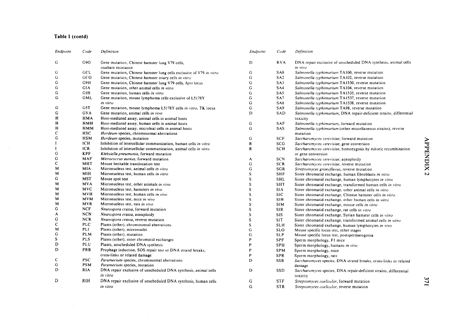## Table i (contd)

 $\sim 10^7$ 

 $\sim$   $\sim$ 

| Endpoint       | Code       | Definition                                                           | Endpoint      | Code            | Definition                                                                 |          |
|----------------|------------|----------------------------------------------------------------------|---------------|-----------------|----------------------------------------------------------------------------|----------|
| G              | G9O        | Gene mutation, Chinese hamster lung V79 cells,<br>ouabain resistance | D             | <b>RVA</b>      | DNA repair exclusive of unscheduled DNA synthesis, animal cells<br>in vivo |          |
| G              | GCL        | Gene mutation, Chinese hamster lung cells exclusive of V79 in vitro  | G             | SA <sub>0</sub> | Salmonella typhimurium TA100, reverse mutation                             |          |
| G              | GCO        | Gene mutation, Chinese hamster ovary cells in vitro                  | G             | SA <sub>2</sub> | Salmonella typhimurium TA102, reverse mutation                             |          |
| G              | G9H        | Gene mutation, Chinese hamster lung V79 cells, hprt locus            | G             | SA3             | Salmonella typhimurium TA1530, reverse mutation                            |          |
| ${\bf G}$      | GIA        | Gene mutation, other animal cells in vitro                           | ${\bf G}$     | SA4             | Salmonella typhimurium TA104, reverse mutation                             |          |
| $\mathbf G$    | <b>GIH</b> | Gene mutation, human cells in vitro                                  | G             | SA5             | Salmonella typhimurium TA1535, reverse mutation                            |          |
| G              | GML        | Gene mutation, mouse lymphoma cells exclusive of L5178Y              | G             | SA7             | Salmonella typhimurium TA1537, reverse mutation                            |          |
|                |            | in vitro                                                             | G             | SA <sub>8</sub> | Salmonella typhimurium TA1538, reverse mutation                            |          |
| G              | G5T        | Gene mutation, mouse lymphoma L5178Y cells in vitro, TK locus        | ${\bf G}$     | SA9             | Salmonella typhimurium TA98, reverse mutation                              |          |
| $\mathsf G$    | <b>GVA</b> | Gene mutation, animal cells in vivo                                  | D             | SAD             | Salmonella typhimurium, DNA repair-deficient strains, differential         |          |
| Η              | HMA        | Host-mediated assay, animal cells in animal hosts                    |               |                 | toxicity                                                                   |          |
| H              | <b>HMH</b> | Host-mediated assay, human cells in animal hosts                     | ${\bf G}$     | <b>SAF</b>      | Salmonella typhimurium, forward mutation                                   |          |
| н              | HMM        | Host-mediated assay, microbial cells in animal hosts                 | G             | SAS             | Salmonella typhimurium (other miscellaneous strains), reverse              |          |
| $\mathsf{C}$   | <b>HSC</b> | Hordeum species, chromosomal aberrations                             |               |                 | mutation                                                                   |          |
| G              | <b>HSM</b> | Hordeum species, mutation                                            | G             | <b>SCF</b>      | Saccharomyces cerevisiae, forward mutation                                 |          |
|                | ICH        | Inhibition of intercellular communication, human cells in vitro      | ${\bf R}$     | SCG             | Saccharomyces cerevisiae, gene conversion                                  |          |
|                | <b>ICR</b> | Inhibition of intercellular communication, animal cells in vitro     | R             | <b>SCH</b>      | Saccharomyces cerevisiae, homozygosis by mitotic recombination             | APPENDIX |
| $\mathbf G$    | <b>KPF</b> | Klebsiella pneumonia, forward mutation                               |               |                 | or gene conversion                                                         |          |
| $\overline{G}$ | <b>MAF</b> | Micrococcus aureus, forward mutation                                 | A             | <b>SCN</b>      | Saccharomyces cerevisiae, aneuploidy                                       |          |
| C              | MHT        | Mouse heritable translocation test                                   | ${\bf G}$     | <b>SCR</b>      | Saccharomyces cerevisiae, reverse mutation                                 |          |
| M              | <b>MIA</b> | Micronucleus test, animal cells in vitro                             | G             | SGR             | Streptomyces griseoflavus, reverse mutation                                |          |
| M              | MIH        | Micronucleus test, human cells in vitro                              | ${\mathbb S}$ | <b>SHF</b>      | Sister chromatid exchange, human fibroblasts in vitro                      | N        |
| G              | <b>MST</b> | Mouse spot test                                                      | $\mathbf S$   | <b>SHL</b>      | Sister chromatid exchange, human lymphocytes in vitro                      |          |
| M              | <b>MVA</b> | Micronucleus test, other animals in vivo                             | ${\mathbb S}$ | <b>SHT</b>      | Sister chromatid exchange, transformed human cells in vitro                |          |
| M              | <b>MVC</b> | Micronucleus test, hamsters in vivo                                  | $\mathbf S$   | <b>SIA</b>      | Sister chromatid exchange, other animal cells in vitro                     |          |
| M              | MVH        | Micronucleus test, human cells in vivo                               | ${\bf S}$     | <b>SIC</b>      | Sister chromatid exchange, Chinese hamster cells in vitro                  |          |
| M              | <b>MVM</b> | Micronucleus test, mice in vivo                                      | $\mathbf S$   | <b>SIH</b>      | Sister chromatid exchange, other human cells in vitro                      |          |
| M              | MVR        | Micronucleus test, rats in vivo                                      | ${\bf S}$     | <b>SIM</b>      | Sister chromatid exchange, mouse cells in vitro                            |          |
| G              | <b>NCF</b> | Neurospora crassa, forward mutation                                  | ${\bf S}$     | <b>SIR</b>      | Sister chromatid exchange, rat cells in vitro                              |          |
| A              | <b>NCN</b> | Neurospora crassa, aneuploidy                                        | ${\mathbf S}$ | <b>SIS</b>      | Sister chromatid exchange, Syrian hamster cells in vitro                   |          |
| G              | <b>NCR</b> | Neurospora crassa, reverse mutation                                  | S             | <b>SIT</b>      | Sister chromatid exchange, transformed animal cells in vitro               |          |
| $\mathbf C$    | <b>PLC</b> | Plants (other), chromosomal aberrations                              | ${\bf S}$     | <b>SLH</b>      | Sister chromatid exchange, human lymphocytes in vivo                       |          |
| M              | <b>PLI</b> | Plants (other), micronuclei                                          | $\mathbf G$   | <b>SLO</b>      | Mouse specific locus test, other stages                                    |          |
| G              | <b>PLM</b> | Plants (other), mutation                                             | ${\bf G}$     | <b>SLP</b>      | Mouse specific locus test, postspermatogonia                               |          |
| ${\bf S}$      | PLS        | Plants (other), sister chromatid exchanges                           | P             | <b>SPF</b>      | Sperm morphology, F1 mice                                                  |          |
| D              | PLU        | Plants, unscheduled DNA synthesis                                    | p             | <b>SPH</b>      | Sperm morphology, humans in vivo                                           |          |
| D              | PRB        | Prophage induction, SOS repair test or DNA strand breaks,            | P             | <b>SPM</b>      | Sperm morphology, mice                                                     |          |
|                |            | cross-links or related damage                                        | P             | SPR             | Sperm morphology, rats                                                     |          |
| c              | <b>PSC</b> | Paramecium species, chromosomal aberrations                          | D             | <b>SSB</b>      | Saccharomyces species, DNA strand breaks, cross-links or related           |          |
| G              | <b>PSM</b> | Paramecium species, mutation                                         |               |                 | damage                                                                     |          |
| D              | <b>RIA</b> | DNA repair exclusive of unscheduled DNA synthesis, animal cells      | D             | <b>SSD</b>      | Saccharomyces species, DNA repair-deficient strains, differential          |          |
|                |            | in vitro                                                             |               |                 | toxicity                                                                   |          |
| D              | <b>RIH</b> | DNA repair exclusive of unscheduled DNA synthesis, human cells       | G             | <b>STF</b>      | Streptomyces coelicolor, forward mutation                                  |          |
|                |            | in vitro                                                             | G             | <b>STR</b>      | Streptomyces coelicolor, reverse mutation                                  |          |
|                |            |                                                                      |               |                 |                                                                            |          |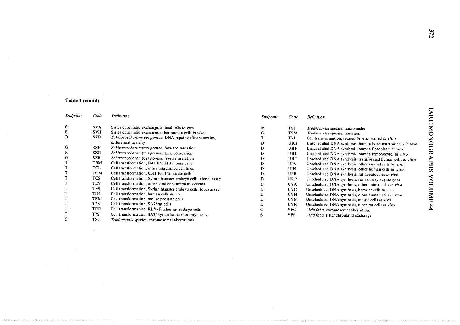## Table 1 (contd)

 $\mathcal{L}_{\mathcal{A}}$ 

 $\rightarrow$ 

| Endpoint | Code             | Definition                                                     | Endpoint | Code       | Definition                                                  |  |
|----------|------------------|----------------------------------------------------------------|----------|------------|-------------------------------------------------------------|--|
| s        | <b>SVA</b>       | Sister chromatid exchange, animal cells in vivo                | м        | TSI        | Tradescantia species, micronuclei                           |  |
| s        | <b>SVH</b>       | Sister chromatid exchange, other human cells in vivo           |          | <b>TSM</b> | Tradescantia species, mutation                              |  |
| D        | <b>SZD</b>       | Schizosaccharomyces pombe, DNA repair-deficient strains,       |          | TVI        | Cell transformation, treated in vivo, scored in vitro       |  |
|          |                  | differential toxicity                                          |          | UBH        | Unscheduled DNA synthesis, human bone-marrow cells in vivo  |  |
| G        | <b>SZF</b>       | Schizosaccharomyces pombe, forward mutation                    |          | UHF        | Unscheduled DNA synthesis, human fibroblasts in vitro       |  |
| R        | SZG.             | Schizosaccharomyces pombe, gene conversion                     |          | UHL        | Unscheduled DNA synthesis, human lymphocytes in vitro       |  |
| G        | <b>SZR</b>       | Schizosaccharomyces pombe, reverse mutation                    |          | UHT        | Unscheduled DNA synthesis, transformed human cells in vitro |  |
|          | <b>TBM</b>       | Cell transformation, BALB/c 3T3 mouse cells                    | D        | UIA.       | Unscheduled DNA synthesis, other animal cells in vitro      |  |
|          | TCL              | Cell transformation, other established cell lines              |          | UIH        | Unscheduled DNA synthesis, other human cells in vitro       |  |
|          | <b>TCM</b>       | Cell transformation, C3H 10T1/2 mouse cells                    |          | UPR        | Unscheduled DNA synthesis, rat hepatocytes in vivo          |  |
|          | TCS              | Cell transformation, Syrian hamster embryo cells, clonal assay |          | <b>URP</b> | Unscheduled DNA synthesis, rat primary hepatocytes          |  |
|          | <b>TEV</b>       | Cell transformation, other viral enhancement systems           |          | <b>UVA</b> | Unscheduled DNA synthesis, other animal cells in vivo       |  |
|          | <b>TFS</b>       | Cell transformation, Syrian hamster embryo cells, focus assay  |          | <b>UVC</b> | Unscheduled DNA synthesis, hamster cells in vivo            |  |
|          | TIH.             | Cell transformation, human cells in vitro                      |          | <b>UVH</b> | Unscheduled DNA synthesis, other human cells in vivo        |  |
|          | <b>TPM</b>       | Cell transformation, mouse prostate cells                      |          | <b>UVM</b> | Unscheduled DNA synthesis, mouse cells in vivo              |  |
|          | T7R              | Cell transformation, SA7/rat cells                             |          | UVR.       | Unscheduled DNA synthesis, other rat cells in vivo          |  |
|          | TRR              | Cell transformation, RLV/Fischer rat embryo cells              |          | VFC        | Vicia faba, chromosomal aberrations                         |  |
|          | T <sub>7</sub> S | Cell transformation, SA7/Syrian hamster embryo cells           |          | <b>VFS</b> | Vicia faba, sister chromatid exchange                       |  |
|          | <b>TSC</b>       | Tradescantia species, chromosomal aberrations                  |          |            |                                                             |  |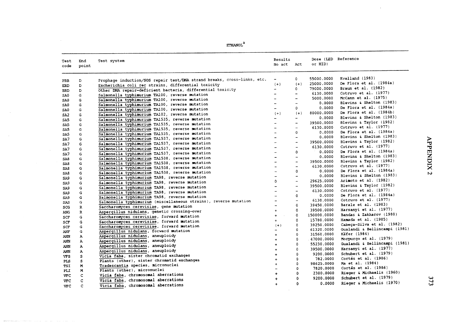| ETHANOL |  |
|---------|--|
|         |  |

| Test<br>code | End<br>point | Test system                                                             | Results<br>No act        | Act                      | or HID)                  | Dose (LED Reference                 |
|--------------|--------------|-------------------------------------------------------------------------|--------------------------|--------------------------|--------------------------|-------------------------------------|
| PRB          | D            | Prophage induction/SOS repair test/DNA strand breaks, cross-links, etc. |                          | 0                        | 55000.0000               | Kvelland (1983)                     |
| ERD          | D            | Escherichia coli rec strains, differential toxicity                     | $(+)$                    | $(+)$                    | 25000.0000               | De Flora et al. (1984a)             |
| <b>BRD</b>   | D            | Other DNA repair-deficient bacteria, differential toxicity              | $\overline{\phantom{0}}$ | 0                        | 79000.0000               | <b>Braun et al. (1982)</b>          |
| SA0          | G            | Salmonella typhimurium TA100, reverse mutation                          |                          | $\overline{a}$           | 6130.0000                | Cotruvo et al. (1977)               |
| SA0          | G            | Salmonella typhimurium TA100, reverse mutation                          |                          | $\rightarrow$            | 5000.0000                | McCann et al. (1975)                |
| SA0          | G            | Salmonella typhimurium TA100, reverse mutation                          |                          | $\overline{\phantom{a}}$ | 0.0000                   | Blevins & Shelton (1983)            |
| SA0          | G            | Salmonella typhimurium TA100, reverse mutation                          |                          | $\Omega$                 | 0.0000                   | De Flora et al. (1984a)             |
| SA2          | G            | Salmonella typhimurium TA102, reverse mutation                          | $(+)$                    | $(+)$                    | 80000.0000               | De Flora et al. (1984b)             |
|              | G            | Salmonella typhimurium TA1535, reverse mutation                         | $\qquad \qquad -$        | $\overline{\phantom{a}}$ | 0.0000                   | <b>Blevins &amp; Shelton (1983)</b> |
| SA5          | G            | Salmonella typhimurium TA1535, reverse mutation                         | $\sim$                   | $\rightarrow$            | 39500.0000               | Blevins & Taylor (1982)             |
| SA5          | G            | Salmonella typhimurium TA1535, reverse mutation                         |                          | $\overline{\phantom{a}}$ | 6130.0000                | Cotruvo et al. (1977)               |
| <b>SAS</b>   |              | Salmonella typhimurium TA1535, reverse mutation                         |                          | $\mathbf 0$              | 0.0000                   | De Flora et al. (1984a)             |
| SA5          | G            | Salmonella typhimurium TA1537, reverse mutation                         | $\overline{\phantom{a}}$ | $\overline{\phantom{a}}$ | 0.0000                   | <b>Blevins &amp; Shelton (1983)</b> |
| SA7          | G            |                                                                         |                          | $\overline{\phantom{a}}$ | 39500.0000               | Blevins & Taylor (1982)             |
| SA7          | G            | Salmonella typhimurium TA1537, reverse mutation                         | $\sim$                   | $\overline{\phantom{a}}$ | 6130.0000                | Cotruvo et al. (1977)               |
| SA7          | G            | Salmonella typhimurium TA1537, reverse mutation                         |                          | $\Omega$                 | 0.0000                   | De Flora et al. (1984a)             |
| SA7          | G            | Salmonella typhimurium TA1537, reverse mutation                         | $\rightarrow$            | $\overline{\phantom{a}}$ | 0.0000                   | Blevins & Shelton (1983)            |
| SA8          | G            | Salmonella typhimurium TA1538, reverse mutation                         | $\rightarrow$            | $\overline{\phantom{a}}$ | 39500.0000               | Blevins & Taylor (1982)             |
| SA8          | G            | Salmonella typhimurium TA1538, reverse mutation                         |                          | $\overline{\phantom{m}}$ | 6130.0000                | Cotruvo et al. (1977)               |
| SA8          | G            | Salmonella typhimurium TA1538, reverse mutation                         |                          | 0                        | 0.0000                   | De Flora et al. (1984a)             |
| SA8          | G            | Salmonella typhimurium TA1538, reverse mutation                         |                          | $\overline{\phantom{a}}$ | 0.0000                   | Blevins & Shelton (1983)            |
| SA9          | G            | Salmonella typhimurium TA98, reverse mutation                           | $\mathbf{O}$             | $\overline{\phantom{a}}$ | 29625.0000               | Arimoto et al. (1982)               |
| SA9          | G            | Salmonella typhimurium TA98, reverse mutation                           |                          | $\overline{\phantom{a}}$ | 39500.0000               | Blevins & Taylor (1982)             |
| SA9          | G            | Salmonella typhimurium TA98, reverse mutation                           | $\overline{\phantom{a}}$ | $\overline{\phantom{a}}$ | 6130.0000                | Cotruvo et al. (1977)               |
| SA9          | G            | Salmonella typhimurium TA98, reverse mutation                           |                          | $\Omega$                 | 0.0000                   | De Flora et al. (1984a)             |
| SA9          | G            | Salmonella typhimurium TA98, reverse mutation                           | $\overline{\phantom{m}}$ | $\overline{\phantom{a}}$ | 6130.0000                | Cotruvo et al. (1977)               |
| SAS          | G            | Salmonella typhimurium (miscellaneous strains), reverse mutation        |                          | 0                        | 39450.0000               | Barale et al. (1983)                |
| SCG          | R            | Saccharomyces cerevisiae, gene mutation                                 |                          | 0                        | 39500.0000               | Harsanyi et al. (1977)              |
| ANG          | $\mathbb{R}$ | Aspergillus nidulans, genetic crossing-over                             | $\ddotmark$              | $\Omega$                 | 150000.0000              | Bandas & Zakharov (1980)            |
| SCF          | G            | Saccharomyces cerevisiae, forward mutation                              | $+$<br>$\sim$            |                          |                          | Hamada et al. (1985)                |
| <b>SCF</b>   | G            | Saccharomyces cerevisiae, forward mutation                              | $\ddotmark$              | $\Omega$                 | 15780.0000               | Cabeca-Silva et al. (1982)          |
| SCF          | G            | Saccharomyces cerevisiae, forward mutation                              | $(+)$                    | 0                        | 39250.0000               | Gualandi & Bellincampi (1981)       |
| ANF          | G            | Aspergillus nidulans, forward mutation                                  |                          | 0<br>0                   | 61320.0000<br>31560.0000 | Käfer (1984)                        |
| ANN          | $\mathbf{A}$ | Aspergillus nidulans, aneuploidy                                        | $\ddotmark$              | 0                        | 47000.0000               | Morpurgo et al. (1979)              |
| ANN          | A            | Aspergillus nidulans, aneuploidy                                        | $\ddot{}$                | $\Omega$                 |                          | Gualandi & Bellincampi (1981)       |
| ANN          | $\mathbf{A}$ | Aspergillus nidulans, aneuploidy                                        | $\ddotmark$              |                          | 55230.0000               | Harsanyi et al. (1977)              |
| ANN          | $\mathbf A$  | Aspergillus nidulans, aneuploidy                                        |                          | 0                        | 39500.0000               | Schubert et al. (1979)              |
| <b>VFS</b>   | s            | Vicia faba, sister chromatid exchanges                                  |                          | $\Omega$                 | 9200.0000                | Cortés et al. $(1986)$              |
| PLS          | s            | Plants (other), sister chromatid exchanges                              | $\ddot{}$                | Ω                        | 782.0000                 |                                     |
| <b>TSI</b>   | M            | Tradescantia species, micronuclei                                       |                          | ٥                        | 98625.0000               | <b>Ma et al. (1984)</b>             |
| PLI.         | M            | Plants (other), micronuclei                                             |                          | 0                        | 7820.0000                | Cortés et al. $(1986)$              |
| <b>VFC</b>   | $\mathbf C$  | Vicia faba, chromosomal aberrations                                     | $\ddot{}$                | 0                        | 2300.0000                | Rieger & Michaelis (1960)           |
| <b>VFC</b>   | C.           | Vicia faba, chromosomal aberrations                                     |                          | 0                        | 9200.0000                | Schubert et al. (1979)              |
| <b>VFC</b>   | c            | Vicia faba, chromosomal aberrations                                     |                          | 0                        | 0.0000                   | Rieger & Michaelis (1970)           |

 $373$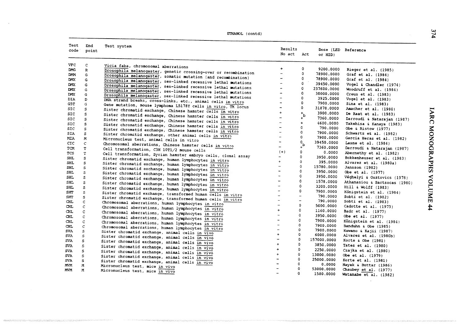| ETHANOL (contd) |  |
|-----------------|--|
|-----------------|--|

| Test       | End          | Test system                                                     |                          |                              |             |                               |
|------------|--------------|-----------------------------------------------------------------|--------------------------|------------------------------|-------------|-------------------------------|
| code       | point        |                                                                 | Results                  |                              |             | Dose (LED Reference           |
|            |              |                                                                 | No act                   | Act                          | or HID)     |                               |
| <b>VFC</b> | c            | Vicia faba, chromosomal aberrations                             |                          |                              |             |                               |
| DMG.       | $\mathbf{R}$ | Drosophila melanogaster, genetic crossing-over or recombination | $+$                      | 0                            | 9200.0000   | Rieger et al. (1985)          |
| <b>DMM</b> | G            | Drosophila melanogaster, somatic mutation (and recombination)   | $\rightarrow$            | 0                            | 78900.0000  | Graf et al. (1984)            |
| DMX        | G            | Drosophila melanogaster, sex-linked recessive lethal mutations  |                          | 0                            | 78900.0000  | Graf et al. (1984)            |
| DMX        | G            | Drosophila melanogaster, sex-linked recessive lethal mutations  |                          | 0                            | 39450,0000  | Vogel & Chandler (1974)       |
| DMX.       | G            | Drosophila melanogaster, sex-linked recessive lethal mutations  |                          | 0                            | 237600.0000 | Woodruff et al. (1984)        |
| <b>DMX</b> | G            | Drosophila melanogaster, sex-linked recessive lethal mutations  | $\equiv$                 | $\mathbf 0$                  | 30000.0000  | Creus et al. (1983)           |
| <b>DIA</b> | D            | DNA strand breaks, cross-links, etc., animal cells in vitro     |                          | $\Omega$                     | 3925.0000   | Vogel et al. (1983)           |
| GST.       | G            | Gene mutation, mouse lymphoma L5178Y cells in vitro, TK locus   | $\sim$                   | 0                            | 7900.0000   | Sina et al. (1983)            |
| SIC.       | s            | Sister chromatid exchange, Chinese hamster cells in vitro       |                          | $\Omega$                     | 31878,0000  | Amacher et al. (1980)         |
| SIC.       | s.           | Sister chromatid exchange, Chinese hamster cells in vitro       | $+$                      | $\mathbf{^{+}}_{\mathbf{b}}$ | 3900,0000   | De Raat et al. (1983)         |
| SIC.       | s            | Sister chromatid exchange, Chinese hamster cells in vitro       |                          | $\ddot{}$                    | 7360.0000   | Darroudi & Natarajan (1987)   |
| SIC.       | S.           | Sister chromatid exchange, Chinese hamster cells in vitro       | $\overline{\phantom{0}}$ | $+$                          | 4600,0000   | Takehisa & Kanaya (1983)      |
| SIC.       | s            | Sister chromatid exchange, Chinese hamster cells in vitro       | $\sim$                   | $\Omega$                     | 790,0000    | Obe & Ristow (1977)           |
| <b>SIA</b> | S.           | Sister chromatid exchange, other animal cells in vitro          | $\sim$<br>$\rightarrow$  | $\Omega$                     | 7900.0000   | Schwartz et al. (1982)        |
| MIA.       | M            | Micronucleus test, animal cells in vitro                        |                          | $\Omega$                     | 7900.0000   | Garcia Heras et al. (1982)    |
| CIC.       | $\mathsf{C}$ | Chromosomal aberrations, Chinese hamster cells in vitro         | $\overline{\phantom{a}}$ | $\mathfrak{o}_{\mathbf{b}}$  | 39450.0000  | Lasne et al. (1984)           |
| TCM        | T.           | Cell transformation, C3H 10T1/2 mouse cells                     | $\overline{\phantom{0}}$ |                              | 7360.0000   | Darroudi & Natarajan (1987)   |
| <b>TCS</b> | T.           | Cell transformation, Syrian hamster embryo cells, clonal assay  | $(+)$                    | $\mathbf 0$                  | 0.0000      | Abernethy et al. (1982)       |
| <b>SHL</b> | s            | Sister chromatid exchange, human lymphocytes in vitro           | $\ddot{\phantom{1}}$     | $\Omega$                     | 3950.0000   | Bokkenheuser et al. (1983)    |
| <b>SHL</b> | s            | Sister chromatid exchange, human lymphocytes in vitro           | $+$                      | $\Omega$                     | 395,0000    | Alvarez et al. (1980a)        |
| <b>SHL</b> | s            | Sister chromatid exchange, human lymphocytes in vitro           | $\overline{\phantom{a}}$ | $\Omega$<br>$\Omega$         | 15780.0000  | Jansson (1982)                |
| <b>SHL</b> | $\mathsf{s}$ | Sister chromatid exchange, human lymphocytes in vitro           |                          | $\Omega$                     | 3950,0000   | Obe et al. (1977)             |
| SHL.       | s.           | Sister chromatid exchange, human lymphocytes in vitro           |                          |                              | 3950,0000   | Véghelyi & Osztovics (1978)   |
| SHL        | S.           | Sister chromatid exchange, human lymphocytes in vitro           | $\overline{\phantom{a}}$ | $\Omega$                     | 1578.0000   | Athanasiou & Bartsocas (1980) |
| SHL        | s.           | Sister chromatid exchange, human lymphocytes in vitro           | $\sim$                   | $\Omega$                     | 3200.0000   | Hill & Wolff (1983)           |
| <b>SHT</b> | s            | Sister chromatid exchange, transformed human cells in vitro     |                          | O.                           | 7900.0000   | Königstein et al. (1984)      |
| <b>SHT</b> | s            | Sister chromatid exchange, transformed human cells in vitro     | $\overline{\phantom{a}}$ | $\equiv$<br>$\equiv$         | 790.0000    | Sobti et al. (1982)           |
| CHL        | $\mathsf{C}$ | Chromosomal aberrations, human lymphocytes in vitro             |                          | $\mathbf{0}$                 | 790,0000    | Sobti et al. (1983)           |
| <b>CHL</b> | $\mathsf{C}$ | Chromosomal aberrations, human lymphocytes in vitro             | $+$                      | $\mathbf{0}$                 | 5000.0000   | Cadotte et al. (1973)         |
| CHL        | C            | Chromosomal aberrations, human lymphocytes in vitro             | $\overline{\phantom{a}}$ | $\Omega$                     | 1160.0000   | Badr et al. (1977)            |
| CHL        | $\mathsf{C}$ | Chromosomal aberrations, human lymphocytes in vitro             | $\rightarrow$            |                              | 3950,0000   | Obe et al. (1977)             |
| <b>CHL</b> | $\mathsf{C}$ | Chromosomal aberrations, human lymphocytes in vitro             |                          | $\Omega$                     | 7900.0000   | Königstein et al. (1984)      |
| CHI.       | $\mathbf C$  | Chromosomal aberrations, human lymphocytes in vitro             |                          | $\Omega$<br>$\Omega$         | 7900.0000   | Banduhn & Obe (1985)          |
| <b>SVA</b> | s            | Sister chromatid exchange, animal cells in vivo                 | $+$                      | $\Omega$                     | 7900.0000   | Kuwano & Kajii (1987)         |
| <b>SVA</b> | s            | Sister chromatid exchange, animal cells in vivo                 | $\overline{\phantom{a}}$ | $\Omega$                     | 6000.0000   | Alvarez et al. (1980b)        |
| <b>SVA</b> | s.           | Sister chromatid exchange, animal cells in vivo                 | $+$                      | $\Omega$                     | 157000.0000 | Korte & Obe $(1981)$          |
| <b>SVA</b> | s            | Sister chromatid exchange, animal cells in vivo                 | $\ddotmark$              | 0                            | 3850.0000   | Tates et al. (1980)           |
| <b>SVA</b> | s.           | Sister chromatid exchange, animal cells in vivo                 | $\ddot{+}$               | $\Omega$                     | 2250.0000   | Czajka et al. (1980)          |
| <b>SVA</b> | s.           | Sister chromatid exchange, animal cells in vivo                 |                          | $\Omega$                     | 13000.0000  | Obe et al. (1979)             |
| <b>SVA</b> | s            | Sister chromatid exchange, animal cells in vivo                 |                          | $\Omega$                     | 25000.0000  | Korte et al. (1981)           |
| <b>MVM</b> | M            | Micronucleus test, mice in vivo                                 |                          | $\mathbf 0$                  | 0.0000      | Nayak & Buttar (1986)         |
| <b>MVM</b> | M            | Micronucleus test, mice in vivo                                 |                          | $\Omega$                     | 53000.0000  | Chaubey et al. (1977)         |
|            |              |                                                                 |                          |                              | 1580.0000   | Watanabe et al. (1982)        |

 $\bar{z}$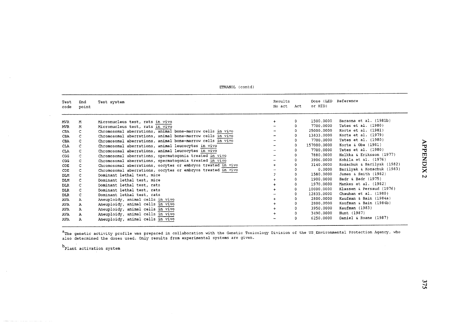| Test<br>code | End<br>point | Test system                                                 | Results<br>No act Act |          | Dose (LED Reference<br>or HID) |                            |
|--------------|--------------|-------------------------------------------------------------|-----------------------|----------|--------------------------------|----------------------------|
|              |              |                                                             |                       |          |                                |                            |
| MVR.         | м            | Micronucleus test, rats in vivo                             |                       | 0        | 1500.0000                      | Baraona et al. (1981b)     |
| MVR.         | М            | Micronucleus test, rats in vivo                             |                       |          | 7700.0000                      | Tates et al. (1980)        |
| CBA          | C            | Chromosomal aberrations, animal bone-marrow cells in vivo   |                       | 0        | 25000.0000                     | Korte et al. (1981)        |
| CBA          | C            | Chromosomal aberrations, animal bone-marrow cells in vivo   |                       | 0        | 13833.0000                     | Korte et al. (1979)        |
| CBA          | C            | Chromosomal aberrations, animal bone-marrow cells in vivo   |                       | 0        | 7700.0000                      | Tates et al. (1980)        |
| <b>CLA</b>   | C            | Chromosomal aberrations, animal leucocytes in vivo          |                       | 0        | 157000.0000                    | Korte & Obe $(1981)$       |
| CLA          | C            | Chromosomal aberrations, animal leucocytes in vivo          |                       | 0        | 7700.0000                      | Tates et al. (1980)        |
| CGG          | C            | Chromosomal aberrations, spermatogonia treated in vivo      |                       | $\Omega$ | 7880,0000                      | Halkka & Eriksson (1977)   |
| CGG          | C            | Chromosomal aberrations, spermatogonia treated in vivo      |                       | $\Omega$ | 3906,0000                      | Kohila et al. (1976)       |
| COE          | C            | Chromosomal aberrations, oocytes or embryos treated in vivo |                       |          | 3140.0000                      | Kozachuk & Barilyak (1982) |
| COE          | C            | Chromosomal aberrations, oocytes or embryos treated in vivo |                       |          | 0.0000                         | Barilyak & Kozachuk (1983) |
| DLM          | c            | Dominant lethal test, mice                                  | $\mathbf{P}$          | $\Omega$ | 1580.0000                      | James & Smith (1982)       |
| DLM          | C            | Dominant lethal test, mice                                  |                       | $\Omega$ | 1900.0000                      | Badr & Badr (1975)         |
| DLR.         | C            | Dominant lethal test, rats                                  |                       | 0        | 1970.0000                      | Mankes et al. (1982)       |
| DLR.         | $\mathbb{C}$ | Dominant lethal test, rats                                  |                       |          | 10000,0000                     | Klassen & Persaud (1976)   |
| <b>DLR</b>   | C            | Dominant lethal test, rats                                  |                       |          | 12835.0000                     | Chauhan et al. (1980)      |
| <b>AVA</b>   | $\mathbf{A}$ | Aneuploidy, animal cells in vivo                            |                       |          | 2800.0000                      | Kaufman & Bain (1984a)     |
| AVA          | A            | Aneuploidy, animal cells in vivo                            |                       |          | 2800.0000                      | Kaufman & Bain (1984b)     |
| AVA          | A            | Aneuploidy, animal cells in vivo                            |                       |          | 3950,0000                      | Kaufman (1983)             |
| AVA.         | A            | Aneuploidy, animal cells in vivo                            |                       |          | 3490.0000                      | Hunt (1987)                |
| <b>AVA</b>   | A            | Aneuploidy, animal cells in vivo                            |                       | 0        | 6250,0000                      | Daniel & Roane (1987)      |

ETHANOL (contd)

<sup>a</sup>The genetic activity profile was prepared in collaboration with the Genetic Toxicology Division of the US Environmental Protection Agency, who<br>also determined the doses used. Only results from experimental systems are g

 $b$ Plant activation system

APPENDIX 2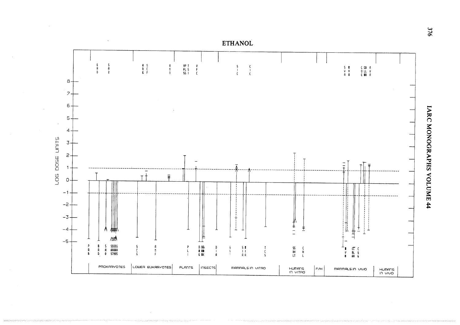

**IARC MONOGRAPHS VOLUME 44** 

376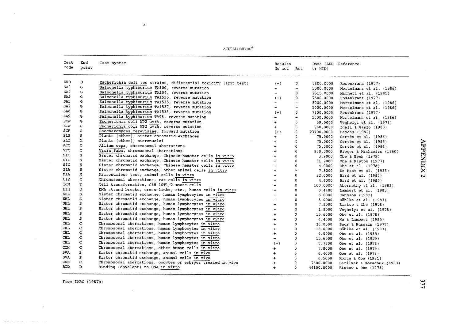$\mathtt{ACETHEDE}^\mathtt{a}$ 

:)

| Test<br>code | End<br>point | Test system                                                     | Results<br>No act        | Act                      | or HID)    | Dose (LED Reference        |
|--------------|--------------|-----------------------------------------------------------------|--------------------------|--------------------------|------------|----------------------------|
| ERD          | D            | Escherichia coli rec strains, differential toxicity (spot test) | $(+)$                    | 0                        | 7800,0000  | Rosenkranz (1977)          |
| SA0          | G            | Salmonella typhimurium TA100, reverse mutation                  | $\overline{\phantom{a}}$ | $\overline{\phantom{a}}$ | 5000.0000  | Mortelmans et al. (1986)   |
| SA4          | G            | Salmonella typhimurium TA104, reverse mutation                  | $\sim$                   | $\Omega$                 | 2515.0000  | Marnett et al. (1985)      |
| SA5          | G            | Salmonella typhimurium TA1535, reverse mutation                 | $(+)$                    | 0                        | 7800.0000  | Rosenkranz (1977)          |
| SA5          | G            | Salmonella typhimurium TA1535, reverse mutation                 |                          | $\overline{\phantom{0}}$ | 5000.0000  | Mortelmans et al. (1986)   |
| SA7          | G            | Salmonella typhimurium TA1537, reverse mutation                 | $\sim$                   | $\overline{\phantom{a}}$ | 5000.0000  | Mortelmans et al. (1986)   |
| SA8          | G            | Salmonella typhimurium TA1538, reverse mutation                 | $(+)$                    | 0                        | 7800.0000  | Rosenkranz (1977)          |
| SA9.         | G            | Salmonella typhimurium TA98, reverse mutation                   |                          |                          | 5000.0000  | Mortelmans et al. (1986)   |
| ECW          | Ġ.           | Escherichia coli WP2 uvrA, reverse mutation                     | $+$                      | $\Omega$                 | 39,0000    | Véghelyi et al. (1978)     |
| ECW          | G            | Escherichia coli WP2 uvrA, reverse mutation                     | $+$                      | 0                        | 780.0000   | Igali & Gaszo (1980)       |
| <b>SCF</b>   | G            | Saccharomyces cerevisiae, forward mutation                      | $(+)$                    | $\Omega$                 | 23400.0000 | Bandas (1982)              |
| PLS          | S            | Plants (other), sister chromatid exchanges                      | $+$                      | $\Omega$                 | 75.0000    | Cortés et al. (1986)       |
| PLI          | М            | Plants (other), micronuclei                                     | $+$                      | $\Omega$                 | 75.0000    | Cortés et al. (1986)       |
| <b>ACC</b>   | $\mathbf C$  | Allium cepa, chromosomal aberrations                            | $+$                      | 0                        | 75,0000    | Cortés et al. (1986)       |
| <b>VFC</b>   | $\mathsf{C}$ | Vicia faba, chromosomal aberrations                             |                          | 0                        | 220,0000   | Rieger & Michaelis (1960)  |
| <b>SIC</b>   | s            | Sister chromatid exchange, Chinese hamster cells in vitro       | $\ddot{+}$               | $\Omega$                 | 3.9000     | Obe & Beek (1979)          |
| <b>SIC</b>   | s            | Sister chromatid exchange, Chinese hamster cells in vitro       | $+$                      | $\Omega$                 | 31.2000    | Obe & Ristow (1977)        |
| <b>SIC</b>   | s.           | Sister chromatid exchange, Chinese hamster cells in vitro       |                          | $\Omega$                 | 4.0000     | Obe et al. (1978)          |
| SIA          | s            | Sister chromatid exchange, other animal cells in vitro          | $+$                      | $\ddotmark$              | 7.8000     | De Raat et al. (1983)      |
| MIA          | м            | Micronucleus test, animal cells in vitro                        | $+$                      | 0                        | 22.0000    | Bird et al. (1982)         |
| CIR          | C.           | Chromosomal aberrations, rat cells in vitro                     | $+$                      | $\Omega$                 | 4.4000     | Bird et al. (1982)         |
| TСM          | т            | Cell transformation, C3H 10T1/2 mouse cells                     |                          | $\Omega$                 | 100.0000   | Abernethy et al. (1982)    |
| DIH          | D            | DNA strand breaks, cross-links, etc., human cells in vitro      | $+$                      | $\mathbf 0$              | 0.4400     | Lambert et al. (1985)      |
| SHL          | s            | Sister chromatid exchange, human lymphocytes in vitro           | $+$                      | $\mathbf{0}$             | 6.0000     | Jansson (1982)             |
| <b>SHL</b>   | s            | Sister chromatid exchange, human lymphocytes in vitro           | $+$                      | $\Omega$                 | 8.0000     | Böhlke et al. (1983)       |
| <b>SHL</b>   | s            | Sister chromatid exchange, human lymphocytes in vitro           | $+$                      | 0                        | 7.8000     | Ristow & Obe $(1978)$      |
| <b>SHL</b>   | s            | Sister chromatid exchange, human lymphocytes in vitro           | $\ddotmark$              | $\Omega$                 | 1.8000     | Véghelyi et al. (1978)     |
| SHL.         | s            | Sister chromatid exchange, human lymphocytes in vitro           | $\ddot{+}$               | $\Omega$                 | 15.6000    | Obe et al. (1978)          |
| <b>SHL</b>   | s            | Sister chromatid exchange, human lymphocytes in vitro           | $+$                      | $\Omega$                 | 4.4000     | He & Lambert (1985)        |
| <b>CHL</b>   | $\mathsf{C}$ | Chromosomal aberrations, human lymphocytes in vitro             | $+$                      | $\mathbf 0$              | 20.0000    | Badr & Hussain (1977)      |
| <b>CHL</b>   | Ċ            | Chromosomal aberrations, human lymphocytes in vitro             | $+$                      | $\circ$                  | 16,0000    | Böhlke et al. (1983)       |
| <b>CHL</b>   | $\mathsf{C}$ | Chromosomal aberrations, human lymphocytes in vitro             | $+$                      | $\circ$                  | 4.0000     | Obe et al. (1985)          |
| <b>CHL</b>   | C            | Chromosomal aberrations, human lymphocytes in vitro             |                          | $\Omega$                 | 15.6000    | Obe et al. (1979)          |
| CHL          | C            | Chromosomal aberrations, human lymphocytes in vitro             | $(+)$                    | $\mathbf 0$              | 0.7800     | Obe et al. (1978)          |
| <b>CIH</b>   | $\mathsf{C}$ | Chromosomal aberrations, other human cells in vitro             | $+$                      | $\mathbf{0}$             | 7.8000     | Obe et al. (1979)          |
| <b>SVA</b>   | s            | Sister chromatid exchange, animal cells in vivo                 | $+$                      | 0                        | 0.4000     | Obe et al. (1979)          |
| <b>SVA</b>   | s            | Sister chromatid exchange, animal cells in vivo                 | $\ddot{}$                | $\Omega$                 | 0.5000     | Korte & Obe $(1981)$       |
| COE.         | c            | Chromosomal aberrations, oocytes or embryos treated in vivo     | $\ddotmark$              | $\Omega$                 | 7800.0000  | Barilyak & Kozachuk (1983) |
| <b>BID</b>   | D            | Binding (covalent) to DNA in vitro                              |                          | $\Omega$                 | 44100.0000 | Ristow & Obe $(1978)$      |
|              |              |                                                                 |                          |                          |            |                            |

 $\bar{z}$ 

APPEN  $\overline{\phantom{a}}$ ~ $\overline{\phantom{0}}$